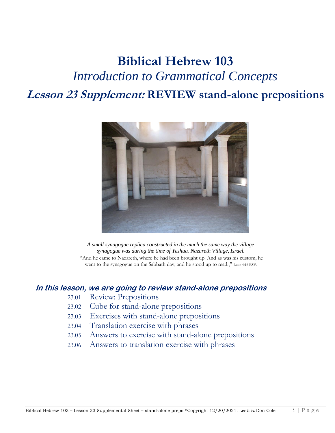# **Biblical Hebrew 103** *Introduction to Grammatical Concepts* **Lesson 23 Supplement: REVIEW stand-alone prepositions**



*A small synagogue replica constructed in the much the same way the village synagogue was during the time of Yeshua. Nazareth Village, Israel.* "And he came to Nazareth, where he had been brought up. And as was his custom, he went to the synagogue on the Sabbath day, and he stood up to read.," Luke 4:16 ESV.

#### **In this lesson, we are going to review stand-alone prepositions**

- 23.01 Review: Prepositions
- 23.02 Cube for stand-alone prepositions
- 23.03 Exercises with stand-alone prepositions
- 23.04 Translation exercise with phrases
- 23.05 Answers to exercise with stand-alone prepositions
- 23.06 Answers to translation exercise with phrases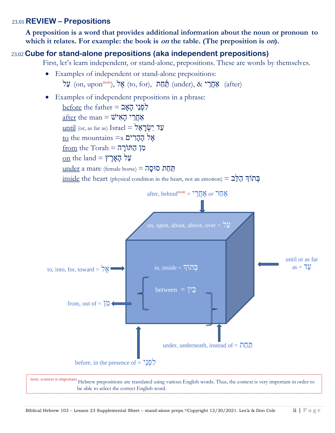#### 23.01 **REVIEW – Prepositions**

**A preposition is a word that provides additional information about the noun or pronoun to which it relates. For example: the book is on the table. (The preposition is on).**

### 23.02 23.02 **Cube for stand-alone prepositions (aka independent prepositions)**

First, let's learn independent, or stand-alone, prepositions. These are words by themselves.

- Examples of independent or stand-alone prepositions:  $\mathbf{M}$  (on, upon<sup>note</sup>), אֱל (to, for), (under),  $\&$   $\mathbf{M}$  (after) (after)
- Examples of independent prepositions in a phrase:

 $before$  the father  $=$  הָאֲב  $after$  the man = שֹׁחֲרֵי הַאִי $\eta$ עַד יִשְׂרַאֱל = Israel (or, as far as)  $I$ srael  $\overline{\text{to}}$  to the mountains  $=$ x אֱל  $from the Torah = \overline{n}$ מְן הַתּוֹרָה  $\underline{\text{on}}$  the land = עֲל  $under a mare (female horse) =  $\overline{op}$$ </u>  $\frac{\text{inside}}{\text{left}}$  the heart (physical condition in the heart, not an emotion) = בְּתוֹךְ  $\frac{\sigma}{2}$ 



note: context is important Hebrew prepositions are translated using various English words. Thus, the context is very important in order to be able to select the correct English word.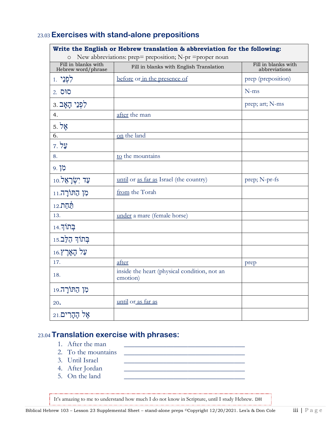## 23.03 **Exercises with stand-alone prepositions**

| Write the English or Hebrew translation & abbreviation for the following:<br>New abbreviations: prep= preposition; N-pr = proper noun |                                                          |                                      |  |
|---------------------------------------------------------------------------------------------------------------------------------------|----------------------------------------------------------|--------------------------------------|--|
| Fill in blanks with<br>Hebrew word/phrase                                                                                             | Fill in blanks with English Translation                  | Fill in blanks with<br>abbreviations |  |
| לִפְנֵי <sub>1</sub>                                                                                                                  | before or in the presence of                             | prep (preposition)                   |  |
| 2. סים                                                                                                                                |                                                          | $N-ms$                               |  |
| לִפְנֵי הָאָב. 3                                                                                                                      |                                                          | prep; art; N-ms                      |  |
| 4.                                                                                                                                    | after the man                                            |                                      |  |
| $5.$ אֱל                                                                                                                              |                                                          |                                      |  |
| 6.                                                                                                                                    | on the land                                              |                                      |  |
| על 7.                                                                                                                                 |                                                          |                                      |  |
| 8.                                                                                                                                    | to the mountains                                         |                                      |  |
| 9. לְן                                                                                                                                |                                                          |                                      |  |
| $10.7$ עַד יִשְׂרָאֵל                                                                                                                 | until or as far as Israel (the country)                  | prep; N-pr-fs                        |  |
| מן הַתּוֹרָה.11                                                                                                                       | from the Torah                                           |                                      |  |
| <u>תַּחַת.12</u>                                                                                                                      |                                                          |                                      |  |
| 13.                                                                                                                                   | under a mare (female horse)                              |                                      |  |
| $14.7$ בְּתוֹךְ                                                                                                                       |                                                          |                                      |  |
| בְּתוֹךְ הַלֵּב.15                                                                                                                    |                                                          |                                      |  |
| ּעַל הָאָרֶץ.16                                                                                                                       |                                                          |                                      |  |
| 17.                                                                                                                                   | after                                                    | prep                                 |  |
| 18.                                                                                                                                   | inside the heart (physical condition, not an<br>emotion) |                                      |  |
| מן הַתּוֹרָה.19                                                                                                                       |                                                          |                                      |  |
| 20.                                                                                                                                   | until or as far as                                       |                                      |  |
| אָל הֶהָרִים.21                                                                                                                       |                                                          |                                      |  |

#### 23.04 **Translation exercise with phrases:**

- 1. After the man
- 2. To the mountains
- 3. Until Israel \_\_\_\_\_\_\_\_\_\_\_\_\_\_\_\_\_\_\_\_\_\_\_\_\_\_\_\_\_\_\_\_\_\_
- 
- 5. On the land

It's amazing to me to understand how much I do not know in Scripture, until I study Hebrew. DH